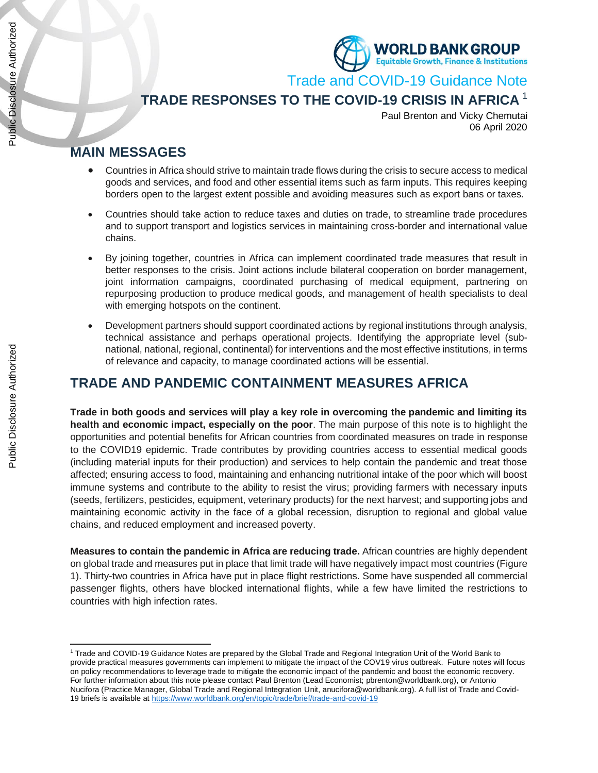

Trade and COVID-19 Guidance Note

## **TRADE RESPONSES TO THE COVID-19 CRISIS IN AFRICA** <sup>1</sup>

Paul Brenton and Vicky Chemutai 06 April 2020

### **MAIN MESSAGES**

- Countries in Africa should strive to maintain trade flows during the crisis to secure access to medical goods and services, and food and other essential items such as farm inputs. This requires keeping borders open to the largest extent possible and avoiding measures such as export bans or taxes.
- Countries should take action to reduce taxes and duties on trade, to streamline trade procedures and to support transport and logistics services in maintaining cross-border and international value chains.
- By joining together, countries in Africa can implement coordinated trade measures that result in better responses to the crisis. Joint actions include bilateral cooperation on border management, joint information campaigns, coordinated purchasing of medical equipment, partnering on repurposing production to produce medical goods, and management of health specialists to deal with emerging hotspots on the continent.
- Development partners should support coordinated actions by regional institutions through analysis, technical assistance and perhaps operational projects. Identifying the appropriate level (subnational, national, regional, continental) for interventions and the most effective institutions, in terms of relevance and capacity, to manage coordinated actions will be essential.

## **TRADE AND PANDEMIC CONTAINMENT MEASURES AFRICA**

**Trade in both goods and services will play a key role in overcoming the pandemic and limiting its health and economic impact, especially on the poor**. The main purpose of this note is to highlight the opportunities and potential benefits for African countries from coordinated measures on trade in response to the COVID19 epidemic. Trade contributes by providing countries access to essential medical goods (including material inputs for their production) and services to help contain the pandemic and treat those affected; ensuring access to food, maintaining and enhancing nutritional intake of the poor which will boost immune systems and contribute to the ability to resist the virus; providing farmers with necessary inputs (seeds, fertilizers, pesticides, equipment, veterinary products) for the next harvest; and supporting jobs and maintaining economic activity in the face of a global recession, disruption to regional and global value chains, and reduced employment and increased poverty.

**Measures to contain the pandemic in Africa are reducing trade.** African countries are highly dependent on global trade and measures put in place that limit trade will have negatively impact most countries (Figure 1). Thirty-two countries in Africa have put in place flight restrictions. Some have suspended all commercial passenger flights, others have blocked international flights, while a few have limited the restrictions to countries with high infection rates.

<sup>1</sup> Trade and COVID-19 Guidance Notes are prepared by the Global Trade and Regional Integration Unit of the World Bank to provide practical measures governments can implement to mitigate the impact of the COV19 virus outbreak. Future notes will focus on policy recommendations to leverage trade to mitigate the economic impact of the pandemic and boost the economic recovery. For further information about this note please contact Paul Brenton (Lead Economist; pbrenton@worldbank.org), or Antonio Nucifora (Practice Manager, Global Trade and Regional Integration Unit, [anucifora@worldbank.org\)](mailto:anucifora@worldbank.org). A full list of Trade and Covid-19 briefs is available a[t https://www.worldbank.org/en/topic/trade/brief/trade-and-covid-19](https://www.worldbank.org/en/topic/trade/brief/trade-and-covid-19)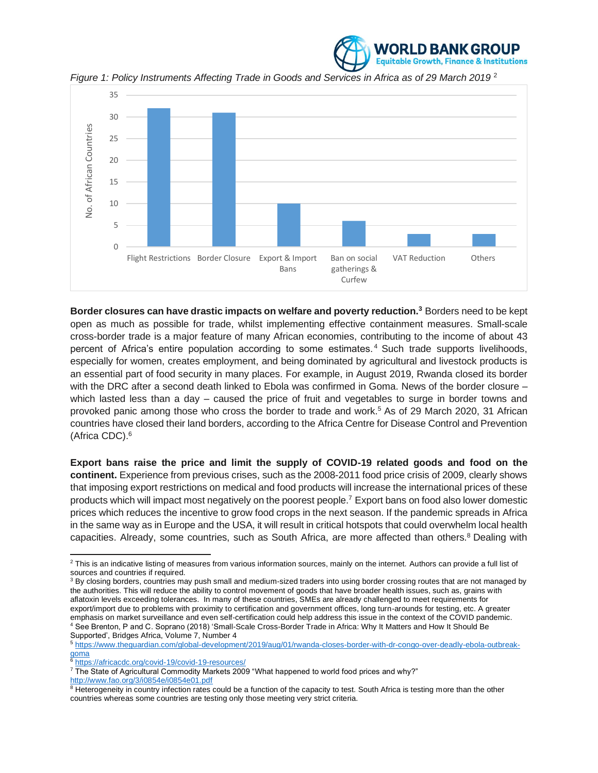

*Figure 1: Policy Instruments Affecting Trade in Goods and Services in Africa as of 29 March 2019* <sup>2</sup>



**Border closures can have drastic impacts on welfare and poverty reduction.<sup>3</sup>** Borders need to be kept open as much as possible for trade, whilst implementing effective containment measures. Small-scale cross-border trade is a major feature of many African economies, contributing to the income of about 43 percent of Africa's entire population according to some estimates. <sup>4</sup> Such trade supports livelihoods, especially for women, creates employment, and being dominated by agricultural and livestock products is an essential part of food security in many places. For example, in August 2019, Rwanda closed its border with the DRC after a second death linked to Ebola was confirmed in Goma. News of the border closure – which lasted less than a day – caused the price of fruit and vegetables to surge in border towns and provoked panic among those who cross the border to trade and work.<sup>5</sup> As of 29 March 2020, 31 African countries have closed their land borders, according to the Africa Centre for Disease Control and Prevention (Africa CDC). 6

**Export bans raise the price and limit the supply of COVID-19 related goods and food on the continent.** Experience from previous crises, such as the 2008-2011 food price crisis of 2009, clearly shows that imposing export restrictions on medical and food products will increase the international prices of these products which will impact most negatively on the poorest people.<sup>7</sup> Export bans on food also lower domestic prices which reduces the incentive to grow food crops in the next season. If the pandemic spreads in Africa in the same way as in Europe and the USA, it will result in critical hotspots that could overwhelm local health capacities. Already, some countries, such as South Africa, are more affected than others.<sup>8</sup> Dealing with

<sup>&</sup>lt;sup>2</sup> This is an indicative listing of measures from various information sources, mainly on the internet. Authors can provide a full list of sources and countries if required.

<sup>3</sup> By closing borders, countries may push small and medium-sized traders into using border crossing routes that are not managed by the authorities. This will reduce the ability to control movement of goods that have broader health issues, such as, grains with aflatoxin levels exceeding tolerances. In many of these countries, SMEs are already challenged to meet requirements for export/import due to problems with proximity to certification and government offices, long turn-arounds for testing, etc. A greater emphasis on market surveillance and even self-certification could help address this issue in the context of the COVID pandemic. <sup>4</sup> See Brenton, P and C. Soprano (2018) 'Small-Scale Cross-Border Trade in Africa: Why It Matters and How It Should Be Supported', Bridges Africa, Volume 7, Number 4

<sup>5</sup> [https://www.theguardian.com/global-development/2019/aug/01/rwanda-closes-border-with-dr-congo-over-deadly-ebola-outbreak](https://www.theguardian.com/global-development/2019/aug/01/rwanda-closes-border-with-dr-congo-over-deadly-ebola-outbreak-goma)[goma](https://www.theguardian.com/global-development/2019/aug/01/rwanda-closes-border-with-dr-congo-over-deadly-ebola-outbreak-goma)

<sup>6</sup> <https://africacdc.org/covid-19/covid-19-resources/>

<sup>&</sup>lt;sup>7</sup> The State of Agricultural Commodity Markets 2009 "What happened to world food prices and why?" <http://www.fao.org/3/i0854e/i0854e01.pdf>

<sup>&</sup>lt;sup>8</sup> Heterogeneity in country infection rates could be a function of the capacity to test. South Africa is testing more than the other countries whereas some countries are testing only those meeting very strict criteria.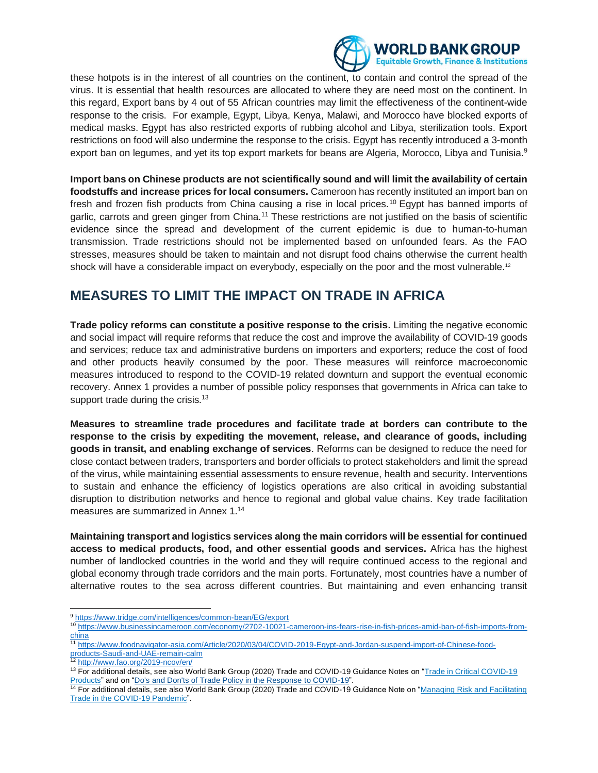

these hotpots is in the interest of all countries on the continent, to contain and control the spread of the virus. It is essential that health resources are allocated to where they are need most on the continent. In this regard, Export bans by 4 out of 55 African countries may limit the effectiveness of the continent-wide response to the crisis. For example, Egypt, Libya, Kenya, Malawi, and Morocco have blocked exports of medical masks. Egypt has also restricted exports of rubbing alcohol and Libya, sterilization tools. Export restrictions on food will also undermine the response to the crisis. Egypt has recently introduced a 3-month export ban on legumes, and yet its top export markets for beans are Algeria, Morocco, Libya and Tunisia.<sup>9</sup>

**Import bans on Chinese products are not scientifically sound and will limit the availability of certain foodstuffs and increase prices for local consumers.** Cameroon has recently instituted an import ban on fresh and frozen fish products from China causing a rise in local prices.<sup>10</sup> Egypt has banned imports of garlic, carrots and green ginger from China.<sup>11</sup> These restrictions are not justified on the basis of scientific evidence since the spread and development of the current epidemic is due to human-to-human transmission. Trade restrictions should not be implemented based on unfounded fears. As the FAO stresses, measures should be taken to maintain and not disrupt food chains otherwise the current health shock will have a considerable impact on everybody, especially on the poor and the most vulnerable.<sup>12</sup>

## **MEASURES TO LIMIT THE IMPACT ON TRADE IN AFRICA**

**Trade policy reforms can constitute a positive response to the crisis.** Limiting the negative economic and social impact will require reforms that reduce the cost and improve the availability of COVID-19 goods and services; reduce tax and administrative burdens on importers and exporters; reduce the cost of food and other products heavily consumed by the poor. These measures will reinforce macroeconomic measures introduced to respond to the COVID-19 related downturn and support the eventual economic recovery. Annex 1 provides a number of possible policy responses that governments in Africa can take to support trade during the crisis. $13$ 

**Measures to streamline trade procedures and facilitate trade at borders can contribute to the response to the crisis by expediting the movement, release, and clearance of goods, including goods in transit, and enabling exchange of services**. Reforms can be designed to reduce the need for close contact between traders, transporters and border officials to protect stakeholders and limit the spread of the virus, while maintaining essential assessments to ensure revenue, health and security. Interventions to sustain and enhance the efficiency of logistics operations are also critical in avoiding substantial disruption to distribution networks and hence to regional and global value chains. Key trade facilitation measures are summarized in Annex 1. 14

**Maintaining transport and logistics services along the main corridors will be essential for continued access to medical products, food, and other essential goods and services.** Africa has the highest number of landlocked countries in the world and they will require continued access to the regional and global economy through trade corridors and the main ports. Fortunately, most countries have a number of alternative routes to the sea across different countries. But maintaining and even enhancing transit

<sup>10</sup> [https://www.businessincameroon.com/economy/2702-10021-cameroon-ins-fears-rise-in-fish-prices-amid-ban-of-fish-imports-from](https://www.businessincameroon.com/economy/2702-10021-cameroon-ins-fears-rise-in-fish-prices-amid-ban-of-fish-imports-from-china)[china](https://www.businessincameroon.com/economy/2702-10021-cameroon-ins-fears-rise-in-fish-prices-amid-ban-of-fish-imports-from-china)

<sup>12</sup> <http://www.fao.org/2019-ncov/en/>

<sup>9</sup> <https://www.tridge.com/intelligences/common-bean/EG/export>

<sup>11</sup> [https://www.foodnavigator-asia.com/Article/2020/03/04/COVID-2019-Egypt-and-Jordan-suspend-import-of-Chinese-food](https://www.foodnavigator-asia.com/Article/2020/03/04/COVID-2019-Egypt-and-Jordan-suspend-import-of-Chinese-food-products-Saudi-and-UAE-remain-calm)[products-Saudi-and-UAE-remain-calm](https://www.foodnavigator-asia.com/Article/2020/03/04/COVID-2019-Egypt-and-Jordan-suspend-import-of-Chinese-food-products-Saudi-and-UAE-remain-calm)

<sup>&</sup>lt;sup>13</sup> For additional details, see also World Bank Group (2020) Trade and COVID-19 Guidance Notes on "Trade in Critical COVID-19 [Products"](http://documents.worldbank.org/curated/en/764011585606299529/pdf/Trade-and-COVID-19-Guidance-Note-Trade-in-Critical-Covid-19-Products.pdf) and on ["Do's and Don'ts of Trade Policy in the Response to COVID-19"](http://documents.worldbank.org/curated/en/509521585605825305/pdf/Do-s-and-Don-ts-of-Trade-Policy-in-the-Response-to-COVID-19.pdf).

<sup>14</sup> For additional details, see also World Bank Group (2020) Trade and COVID-19 Guidance Note on ["Managing Risk and Facilitating](http://documents.worldbank.org/curated/en/751981585606039541/pdf/Managing-Risk-and-Facilitating-Trade-in-the-COVID-19-Pandemic.pdf)  [Trade in the COVID-19 Pandemic"](http://documents.worldbank.org/curated/en/751981585606039541/pdf/Managing-Risk-and-Facilitating-Trade-in-the-COVID-19-Pandemic.pdf).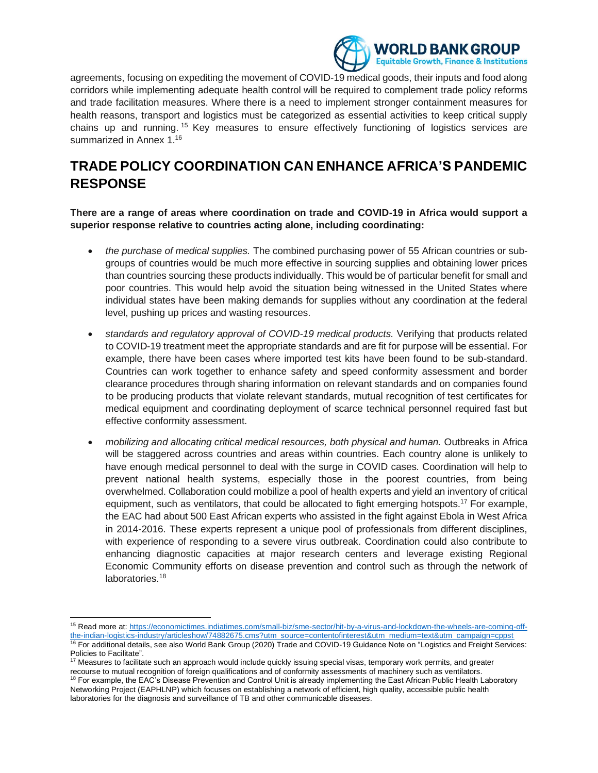

agreements, focusing on expediting the movement of COVID-19 medical goods, their inputs and food along corridors while implementing adequate health control will be required to complement trade policy reforms and trade facilitation measures. Where there is a need to implement stronger containment measures for health reasons, transport and logistics must be categorized as essential activities to keep critical supply chains up and running.<sup>15</sup> Key measures to ensure effectively functioning of logistics services are summarized in Annex 1.<sup>16</sup>

## **TRADE POLICY COORDINATION CAN ENHANCE AFRICA'S PANDEMIC RESPONSE**

**There are a range of areas where coordination on trade and COVID-19 in Africa would support a superior response relative to countries acting alone, including coordinating:** 

- *the purchase of medical supplies.* The combined purchasing power of 55 African countries or subgroups of countries would be much more effective in sourcing supplies and obtaining lower prices than countries sourcing these products individually. This would be of particular benefit for small and poor countries. This would help avoid the situation being witnessed in the United States where individual states have been making demands for supplies without any coordination at the federal level, pushing up prices and wasting resources.
- *standards and regulatory approval of COVID-19 medical products.* Verifying that products related to COVID-19 treatment meet the appropriate standards and are fit for purpose will be essential. For example, there have been cases where imported test kits have been found to be sub-standard. Countries can work together to enhance safety and speed conformity assessment and border clearance procedures through sharing information on relevant standards and on companies found to be producing products that violate relevant standards, mutual recognition of test certificates for medical equipment and coordinating deployment of scarce technical personnel required fast but effective conformity assessment.
- *mobilizing and allocating critical medical resources, both physical and human.* Outbreaks in Africa will be staggered across countries and areas within countries. Each country alone is unlikely to have enough medical personnel to deal with the surge in COVID cases. Coordination will help to prevent national health systems, especially those in the poorest countries, from being overwhelmed. Collaboration could mobilize a pool of health experts and yield an inventory of critical equipment, such as ventilators, that could be allocated to fight emerging hotspots.<sup>17</sup> For example, the EAC had about 500 East African experts who assisted in the fight against Ebola in West Africa in 2014-2016. These experts represent a unique pool of professionals from different disciplines, with experience of responding to a severe virus outbreak. Coordination could also contribute to enhancing diagnostic capacities at major research centers and leverage existing Regional Economic Community efforts on disease prevention and control such as through the network of laboratories.<sup>18</sup>

<sup>15</sup> Read more at[: https://economictimes.indiatimes.com/small-biz/sme-sector/hit-by-a-virus-and-lockdown-the-wheels-are-coming-off](https://economictimes.indiatimes.com/small-biz/sme-sector/hit-by-a-virus-and-lockdown-the-wheels-are-coming-off-the-indian-logistics-industry/articleshow/74882675.cms?utm_source=contentofinterest&utm_medium=text&utm_campaign=cppst)[the-indian-logistics-industry/articleshow/74882675.cms?utm\\_source=contentofinterest&utm\\_medium=text&utm\\_campaign=cppst](https://economictimes.indiatimes.com/small-biz/sme-sector/hit-by-a-virus-and-lockdown-the-wheels-are-coming-off-the-indian-logistics-industry/articleshow/74882675.cms?utm_source=contentofinterest&utm_medium=text&utm_campaign=cppst) <sup>16</sup> For additional details, see also World Bank Group (2020) Trade and COVID-19 Guidance Note on "Logistics and Freight Services:

Policies to Facilitate". <sup>17</sup> Measures to facilitate such an approach would include quickly issuing special visas, temporary work permits, and greater

recourse to mutual recognition of foreign qualifications and of conformity assessments of machinery such as ventilators. <sup>18</sup> For example, the EAC's Disease Prevention and Control Unit is already implementing the East African Public Health Laboratory Networking Project (EAPHLNP) which focuses on establishing a network of efficient, high quality, accessible public health laboratories for the diagnosis and surveillance of TB and other communicable diseases.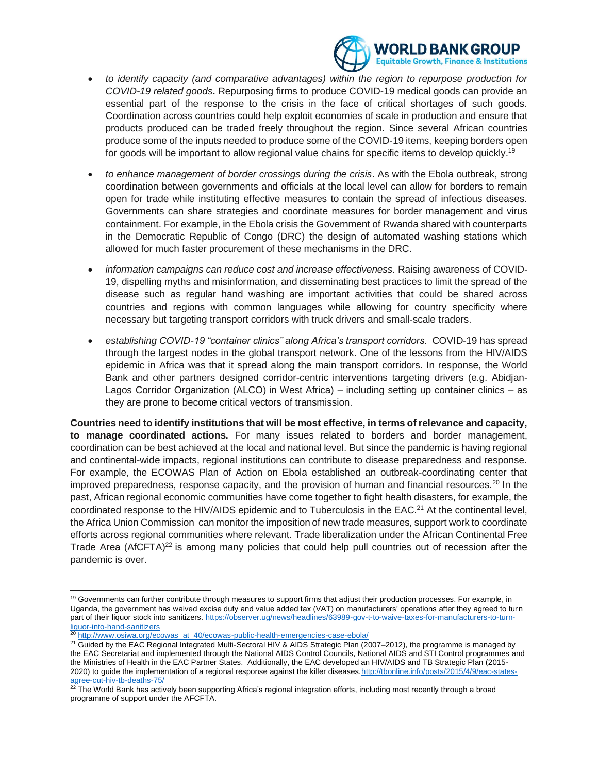

- *to identify capacity (and comparative advantages) within the region to repurpose production for COVID-19 related goods***.** Repurposing firms to produce COVID-19 medical goods can provide an essential part of the response to the crisis in the face of critical shortages of such goods. Coordination across countries could help exploit economies of scale in production and ensure that products produced can be traded freely throughout the region. Since several African countries produce some of the inputs needed to produce some of the COVID-19 items, keeping borders open for goods will be important to allow regional value chains for specific items to develop quickly.<sup>19</sup>
- *to enhance management of border crossings during the crisis*. As with the Ebola outbreak, strong coordination between governments and officials at the local level can allow for borders to remain open for trade while instituting effective measures to contain the spread of infectious diseases. Governments can share strategies and coordinate measures for border management and virus containment. For example, in the Ebola crisis the Government of Rwanda shared with counterparts in the Democratic Republic of Congo (DRC) the design of automated washing stations which allowed for much faster procurement of these mechanisms in the DRC.
- *information campaigns can reduce cost and increase effectiveness.* Raising awareness of COVID-19, dispelling myths and misinformation, and disseminating best practices to limit the spread of the disease such as regular hand washing are important activities that could be shared across countries and regions with common languages while allowing for country specificity where necessary but targeting transport corridors with truck drivers and small-scale traders.
- *establishing COVID-19 "container clinics" along Africa's transport corridors.* COVID-19 has spread through the largest nodes in the global transport network. One of the lessons from the HIV/AIDS epidemic in Africa was that it spread along the main transport corridors. In response, the World Bank and other partners designed corridor-centric interventions targeting drivers (e.g. Abidjan-Lagos Corridor Organization (ALCO) in West Africa) – including setting up container clinics – as they are prone to become critical vectors of transmission.

**Countries need to identify institutions that will be most effective, in terms of relevance and capacity, to manage coordinated actions.** For many issues related to borders and border management, coordination can be best achieved at the local and national level. But since the pandemic is having regional and continental-wide impacts, regional institutions can contribute to disease preparedness and response**.**  For example, the ECOWAS Plan of Action on Ebola established an outbreak-coordinating center that improved preparedness, response capacity, and the provision of human and financial resources.<sup>20</sup> In the past, African regional economic communities have come together to fight health disasters, for example, the coordinated response to the HIV/AIDS epidemic and to Tuberculosis in the EAC.<sup>21</sup> At the continental level, the Africa Union Commission can monitor the imposition of new trade measures, support work to coordinate efforts across regional communities where relevant. Trade liberalization under the African Continental Free Trade Area (AfCFTA)<sup>22</sup> is among many policies that could help pull countries out of recession after the pandemic is over.

<sup>&</sup>lt;sup>19</sup> Governments can further contribute through measures to support firms that adjust their production processes. For example, in Uganda, the government has waived excise duty and value added tax (VAT) on manufacturers' operations after they agreed to turn part of their liquor stock into sanitizers[. https://observer.ug/news/headlines/63989-gov-t-to-waive-taxes-for-manufacturers-to-turn](https://observer.ug/news/headlines/63989-gov-t-to-waive-taxes-for-manufacturers-to-turn-liquor-into-hand-sanitizers)[liquor-into-hand-sanitizers](https://observer.ug/news/headlines/63989-gov-t-to-waive-taxes-for-manufacturers-to-turn-liquor-into-hand-sanitizers)

[http://www.osiwa.org/ecowas\\_at\\_40/ecowas-public-health-emergencies-case-ebola/](http://www.osiwa.org/ecowas_at_40/ecowas-public-health-emergencies-case-ebola/)

<sup>&</sup>lt;sup>21</sup> Guided by the EAC Regional Integrated Multi-Sectoral HIV & AIDS Strategic Plan (2007–2012), the programme is managed by the EAC Secretariat and implemented through the National AIDS Control Councils, National AIDS and STI Control programmes and the Ministries of Health in the EAC Partner States. Additionally, the EAC developed an HIV/AIDS and TB Strategic Plan (2015- 2020) to guide the implementation of a regional response against the killer diseases[.http://tbonline.info/posts/2015/4/9/eac-states](http://tbonline.info/posts/2015/4/9/eac-states-agree-cut-hiv-tb-deaths-75/)[agree-cut-hiv-tb-deaths-75/](http://tbonline.info/posts/2015/4/9/eac-states-agree-cut-hiv-tb-deaths-75/)

 $^{22}$  The World Bank has actively been supporting Africa's regional integration efforts, including most recently through a broad programme of support under the AFCFTA.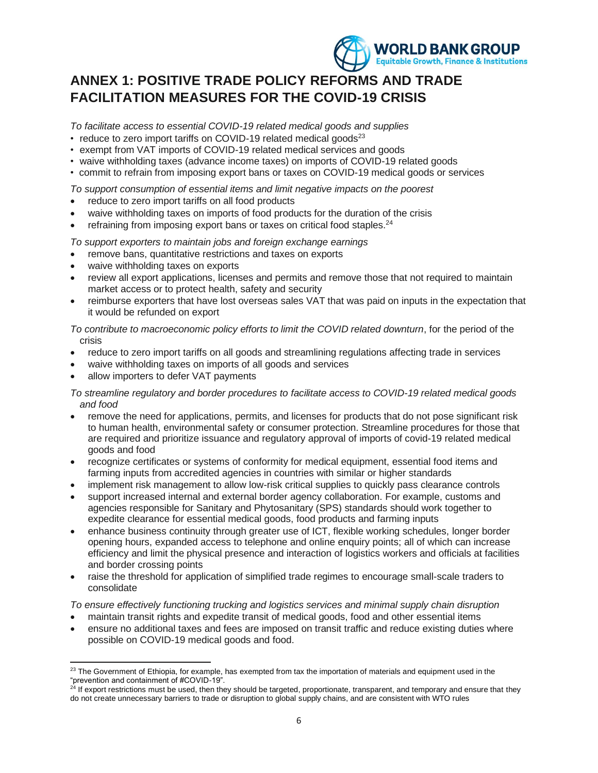

# **ANNEX 1: POSITIVE TRADE POLICY REFORMS AND TRADE FACILITATION MEASURES FOR THE COVID-19 CRISIS**

*To facilitate access to essential COVID-19 related medical goods and supplies* 

- reduce to zero import tariffs on COVID-19 related medical goods $^{23}$
- exempt from VAT imports of COVID-19 related medical services and goods
- waive withholding taxes (advance income taxes) on imports of COVID-19 related goods
- commit to refrain from imposing export bans or taxes on COVID-19 medical goods or services

*To support consumption of essential items and limit negative impacts on the poorest* 

- reduce to zero import tariffs on all food products
- waive withholding taxes on imports of food products for the duration of the crisis
- refraining from imposing export bans or taxes on critical food staples.<sup>24</sup>

*To support exporters to maintain jobs and foreign exchange earnings* 

- remove bans, quantitative restrictions and taxes on exports
- waive withholding taxes on exports
- review all export applications, licenses and permits and remove those that not required to maintain market access or to protect health, safety and security
- reimburse exporters that have lost overseas sales VAT that was paid on inputs in the expectation that it would be refunded on export

*To contribute to macroeconomic policy efforts to limit the COVID related downturn*, for the period of the crisis

- reduce to zero import tariffs on all goods and streamlining regulations affecting trade in services
- waive withholding taxes on imports of all goods and services
- allow importers to defer VAT payments

*To streamline regulatory and border procedures to facilitate access to COVID-19 related medical goods and food* 

- remove the need for applications, permits, and licenses for products that do not pose significant risk to human health, environmental safety or consumer protection. Streamline procedures for those that are required and prioritize issuance and regulatory approval of imports of covid-19 related medical goods and food
- recognize certificates or systems of conformity for medical equipment, essential food items and farming inputs from accredited agencies in countries with similar or higher standards
- implement risk management to allow low-risk critical supplies to quickly pass clearance controls
- support increased internal and external border agency collaboration. For example, customs and agencies responsible for Sanitary and Phytosanitary (SPS) standards should work together to expedite clearance for essential medical goods, food products and farming inputs
- enhance business continuity through greater use of ICT, flexible working schedules, longer border opening hours, expanded access to telephone and online enquiry points; all of which can increase efficiency and limit the physical presence and interaction of logistics workers and officials at facilities and border crossing points
- raise the threshold for application of simplified trade regimes to encourage small-scale traders to consolidate

*To ensure effectively functioning trucking and logistics services and minimal supply chain disruption*

- maintain transit rights and expedite transit of medical goods, food and other essential items
- ensure no additional taxes and fees are imposed on transit traffic and reduce existing duties where possible on COVID-19 medical goods and food.

<sup>&</sup>lt;sup>23</sup> The Government of Ethiopia, for example, has exempted from tax the importation of materials and equipment used in the "prevention and containment of #COVID-19".

 $24$  If export restrictions must be used, then they should be targeted, proportionate, transparent, and temporary and ensure that they do not create unnecessary barriers to trade or disruption to global supply chains, and are consistent with WTO rules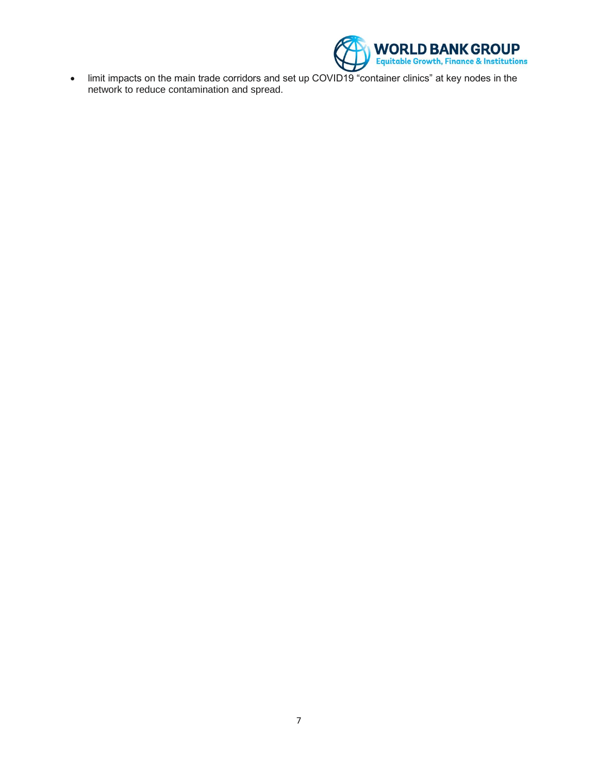

• limit impacts on the main trade corridors and set up COVID19 "container clinics" at key nodes in the network to reduce contamination and spread.